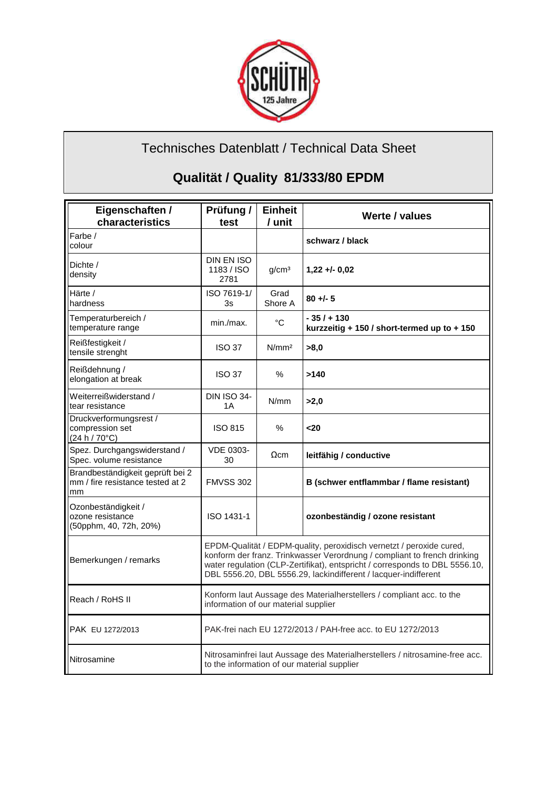

## Technisches Datenblatt / Technical Data Sheet

## **Qualität / Quality 81/333/80 EPDM**

| Eigenschaften /<br>characteristics                                         | Prüfung /<br>test                                                                                                                                                                                                                                                                                  | <b>Einheit</b><br>/ unit | Werte / values                                              |
|----------------------------------------------------------------------------|----------------------------------------------------------------------------------------------------------------------------------------------------------------------------------------------------------------------------------------------------------------------------------------------------|--------------------------|-------------------------------------------------------------|
| Farbe /<br>colour                                                          |                                                                                                                                                                                                                                                                                                    |                          | schwarz / black                                             |
| Dichte /<br>density                                                        | DIN EN ISO<br>1183 / ISO<br>2781                                                                                                                                                                                                                                                                   | q/cm <sup>3</sup>        | $1,22 + 0.02$                                               |
| Härte /<br>hardness                                                        | ISO 7619-1/<br>3s                                                                                                                                                                                                                                                                                  | Grad<br>Shore A          | $80 + 5$                                                    |
| Temperaturbereich /<br>temperature range                                   | min./max.                                                                                                                                                                                                                                                                                          | °C                       | - 35 / + 130<br>kurzzeitig + 150 / short-termed up to + 150 |
| Reißfestigkeit /<br>tensile strenght                                       | <b>ISO 37</b>                                                                                                                                                                                                                                                                                      | N/mm <sup>2</sup>        | >8,0                                                        |
| Reißdehnung /<br>elongation at break                                       | <b>ISO 37</b>                                                                                                                                                                                                                                                                                      | $\%$                     | >140                                                        |
| Weiterreißwiderstand /<br>tear resistance                                  | <b>DIN ISO 34-</b><br>1 A                                                                                                                                                                                                                                                                          | N/mm                     | >2.0                                                        |
| Druckverformungsrest /<br>compression set<br>(24 h / 70°C)                 | <b>ISO 815</b>                                                                                                                                                                                                                                                                                     | $\%$                     | 20                                                          |
| Spez. Durchgangswiderstand /<br>Spec. volume resistance                    | <b>VDE 0303-</b><br>30                                                                                                                                                                                                                                                                             | $\Omega$ cm              | leitfähig / conductive                                      |
| Brandbeständigkeit geprüft bei 2<br>mm / fire resistance tested at 2<br>mm | <b>FMVSS 302</b>                                                                                                                                                                                                                                                                                   |                          | B (schwer entflammbar / flame resistant)                    |
| Ozonbeständigkeit /<br>ozone resistance<br>(50pphm, 40, 72h, 20%)          | ISO 1431-1                                                                                                                                                                                                                                                                                         |                          | ozonbeständig / ozone resistant                             |
| Bemerkungen / remarks                                                      | EPDM-Qualität / EDPM-quality, peroxidisch vernetzt / peroxide cured,<br>konform der franz. Trinkwasser Verordnung / compliant to french drinking<br>water regulation (CLP-Zertifikat), entspricht / corresponds to DBL 5556.10,<br>DBL 5556.20, DBL 5556.29, lackindifferent / lacquer-indifferent |                          |                                                             |
| Reach / RoHS II                                                            | Konform laut Aussage des Materialherstellers / compliant acc. to the<br>information of our material supplier                                                                                                                                                                                       |                          |                                                             |
| PAK EU 1272/2013                                                           | PAK-frei nach EU 1272/2013 / PAH-free acc. to EU 1272/2013                                                                                                                                                                                                                                         |                          |                                                             |
| Nitrosamine                                                                | Nitrosaminfrei laut Aussage des Materialherstellers / nitrosamine-free acc.<br>to the information of our material supplier                                                                                                                                                                         |                          |                                                             |